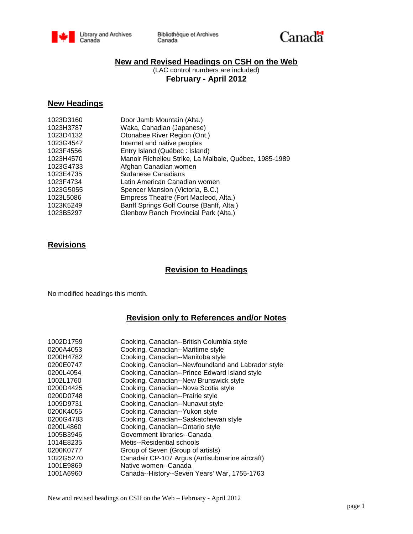

Bibliothèque et Archives Canada



### **New and Revised Headings on CSH on the Web**

(LAC control numbers are included) **February - April 2012**

#### **New Headings**

| 1023D3160 | Door Jamb Mountain (Alta.)                             |
|-----------|--------------------------------------------------------|
| 1023H3787 | Waka, Canadian (Japanese)                              |
| 1023D4132 | Otonabee River Region (Ont.)                           |
| 1023G4547 | Internet and native peoples                            |
| 1023F4556 | Entry Island (Québec : Island)                         |
| 1023H4570 | Manoir Richelieu Strike, La Malbaie, Québec, 1985-1989 |
| 1023G4733 | Afghan Canadian women                                  |
| 1023E4735 | Sudanese Canadians                                     |
| 1023F4734 | Latin American Canadian women                          |
| 1023G5055 | Spencer Mansion (Victoria, B.C.)                       |
| 1023L5086 | Empress Theatre (Fort Macleod, Alta.)                  |
| 1023K5249 | Banff Springs Golf Course (Banff, Alta.)               |
| 1023B5297 | Glenbow Ranch Provincial Park (Alta.)                  |
|           |                                                        |

### **Revisions**

# **Revision to Headings**

No modified headings this month.

## **Revision only to References and/or Notes**

| 1002D1759<br>0200A4053 | Cooking, Canadian--British Columbia style<br>Cooking, Canadian--Maritime style |
|------------------------|--------------------------------------------------------------------------------|
| 0200H4782              | Cooking, Canadian--Manitoba style                                              |
| 0200E0747              | Cooking, Canadian--Newfoundland and Labrador style                             |
| 0200L4054              | Cooking, Canadian--Prince Edward Island style                                  |
| 1002L1760              | Cooking, Canadian--New Brunswick style                                         |
| 0200D4425              | Cooking, Canadian--Nova Scotia style                                           |
| 0200D0748              | Cooking, Canadian--Prairie style                                               |
| 1009D9731              | Cooking, Canadian--Nunavut style                                               |
| 0200K4055              | Cooking, Canadian--Yukon style                                                 |
| 0200G4783              | Cooking, Canadian--Saskatchewan style                                          |
| 0200L4860              | Cooking, Canadian--Ontario style                                               |
| 1005B3946              | Government libraries--Canada                                                   |
| 1014E8235              | Métis--Residential schools                                                     |
| 0200K0777              | Group of Seven (Group of artists)                                              |
| 1022G5270              | Canadair CP-107 Argus (Antisubmarine aircraft)                                 |
| 1001E9869              | Native women--Canada                                                           |
| 1001A6960              | Canada--History--Seven Years' War, 1755-1763                                   |